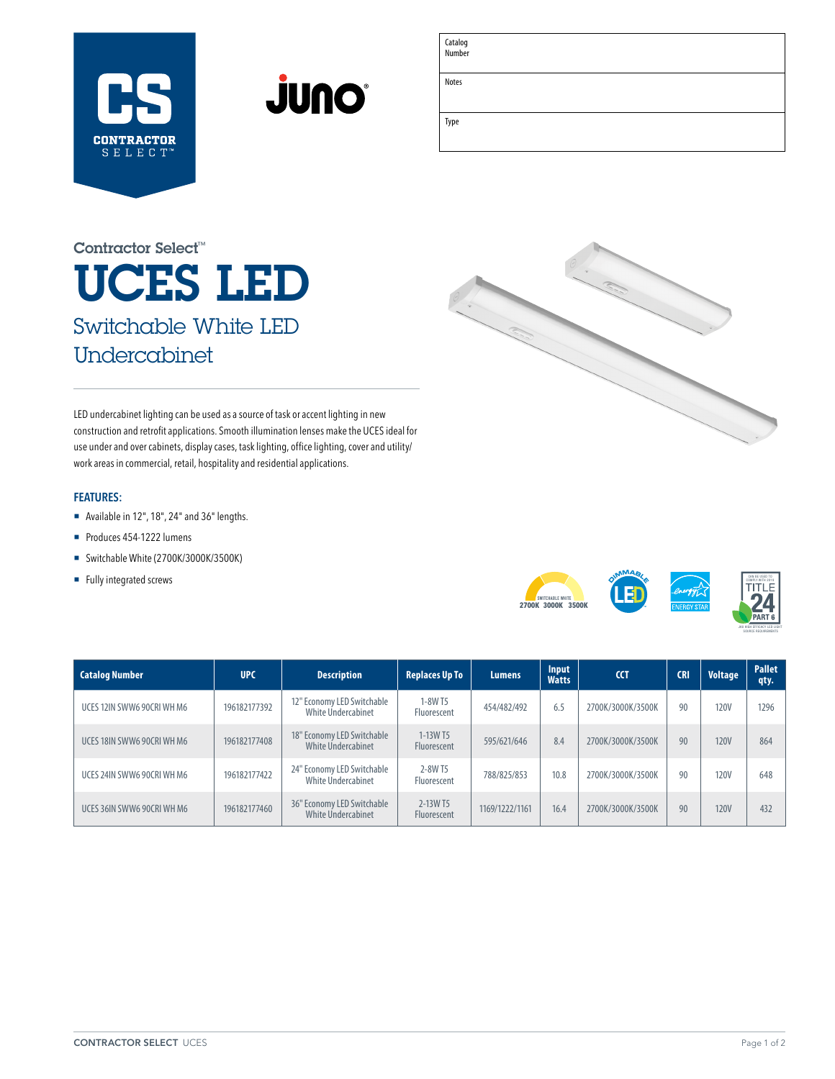



Catalog Number

Notes

Type

| <u> 1989 - Andrea Santana, amerikana amerikana amerikana amerikana amerikana amerikana amerikana amerikana amerika</u> |  |  |
|------------------------------------------------------------------------------------------------------------------------|--|--|
|                                                                                                                        |  |  |
|                                                                                                                        |  |  |
|                                                                                                                        |  |  |
|                                                                                                                        |  |  |
|                                                                                                                        |  |  |
|                                                                                                                        |  |  |
|                                                                                                                        |  |  |
|                                                                                                                        |  |  |
|                                                                                                                        |  |  |
|                                                                                                                        |  |  |

# UCES LED Switchable White LED Undercabinet Contractor Select™



LED undercabinet lighting can be used as a source of task or accent lighting in new construction and retrofit applications. Smooth illumination lenses make the UCES ideal for use under and over cabinets, display cases, task lighting, office lighting, cover and utility/ work areas in commercial, retail, hospitality and residential applications.

### **FEATURES:**

- ¡ Available in 12", 18", 24" and 36" lengths.
- Produces 454-1222 lumens
- Switchable White (2700K/3000K/3500K)
- Fully integrated screws



| <b>Catalog Number</b>      | <b>UPC</b>   | <b>Description</b>                               | <b>Replaces Up To</b>          | <b>Lumens</b>  | Input<br><b>Watts</b> | <b>CCT</b>        | <b>CRI</b> | <b>Voltage</b> | <b>Pallet</b><br>qty. |
|----------------------------|--------------|--------------------------------------------------|--------------------------------|----------------|-----------------------|-------------------|------------|----------------|-----------------------|
| UCES 12IN SWW6 90CRI WH M6 | 196182177392 | 12" Economy LED Switchable<br>White Undercabinet | 1-8W T5<br>Fluorescent         | 454/482/492    | 6.5                   | 2700K/3000K/3500K | 90         | <b>120V</b>    | 1296                  |
| UCES 18IN SWW6 90CRI WH M6 | 196182177408 | 18" Economy LED Switchable<br>White Undercabinet | 1-13W T5<br>Fluorescent        | 595/621/646    | 8.4                   | 2700K/3000K/3500K | 90         | <b>120V</b>    | 864                   |
| UCES 24IN SWW6 90CRI WH M6 | 196182177422 | 24" Economy LED Switchable<br>White Undercabinet | 2-8W T5<br>Fluorescent         | 788/825/853    | 10.8                  | 2700K/3000K/3500K | 90         | <b>120V</b>    | 648                   |
| UCES 36IN SWW6 90CRI WH M6 | 196182177460 | 36" Economy LED Switchable<br>White Undercabinet | 2-13W T5<br><b>Fluorescent</b> | 1169/1222/1161 | 16.4                  | 2700K/3000K/3500K | 90         | <b>120V</b>    | 432                   |

JA8 HIGH EFFICACY LED LIGHT SOURCE REQUIREMENTS